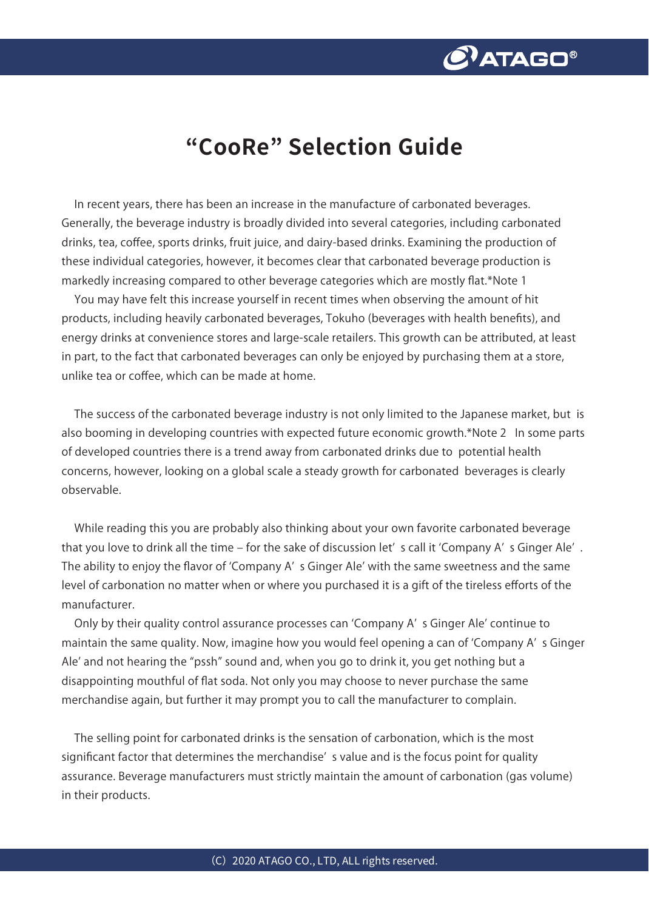

## **"CooRe" Selection Guide**

In recent years, there has been an increase in the manufacture of carbonated beverages. Generally, the beverage industry is broadly divided into several categories, including carbonated drinks, tea, coffee, sports drinks, fruit juice, and dairy-based drinks. Examining the production of these individual categories, however, it becomes clear that carbonated beverage production is markedly increasing compared to other beverage categories which are mostly flat.\*Note 1

You may have felt this increase yourself in recent times when observing the amount of hit products, including heavily carbonated beverages, Tokuho (beverages with health benefits), and energy drinks at convenience stores and large-scale retailers. This growth can be attributed, at least in part, to the fact that carbonated beverages can only be enjoyed by purchasing them at a store, unlike tea or coffee, which can be made at home.

The success of the carbonated beverage industry is not only limited to the Japanese market, but is also booming in developing countries with expected future economic growth.\*Note 2 In some parts of developed countries there is a trend away from carbonated drinks due to potential health concerns, however, looking on a global scale a steady growth for carbonated beverages is clearly observable.

While reading this you are probably also thinking about your own favorite carbonated beverage that you love to drink all the time – for the sake of discussion let' s call it 'Company A' s Ginger Ale'. The ability to enjoy the flavor of ʻCompany A' s Ginger Ale' with the same sweetness and the same level of carbonation no matter when or where you purchased it is a gift of the tireless efforts of the manufacturer.

Only by their quality control assurance processes can ʻCompany A' s Ginger Ale' continue to maintain the same quality. Now, imagine how you would feel opening a can of ʻCompany A' s Ginger Ale' and not hearing the "pssh" sound and, when you go to drink it, you get nothing but a disappointing mouthful of flat soda. Not only you may choose to never purchase the same merchandise again, but further it may prompt you to call the manufacturer to complain.

The selling point for carbonated drinks is the sensation of carbonation, which is the most significant factor that determines the merchandise' s value and is the focus point for quality assurance. Beverage manufacturers must strictly maintain the amount of carbonation (gas volume) in their products.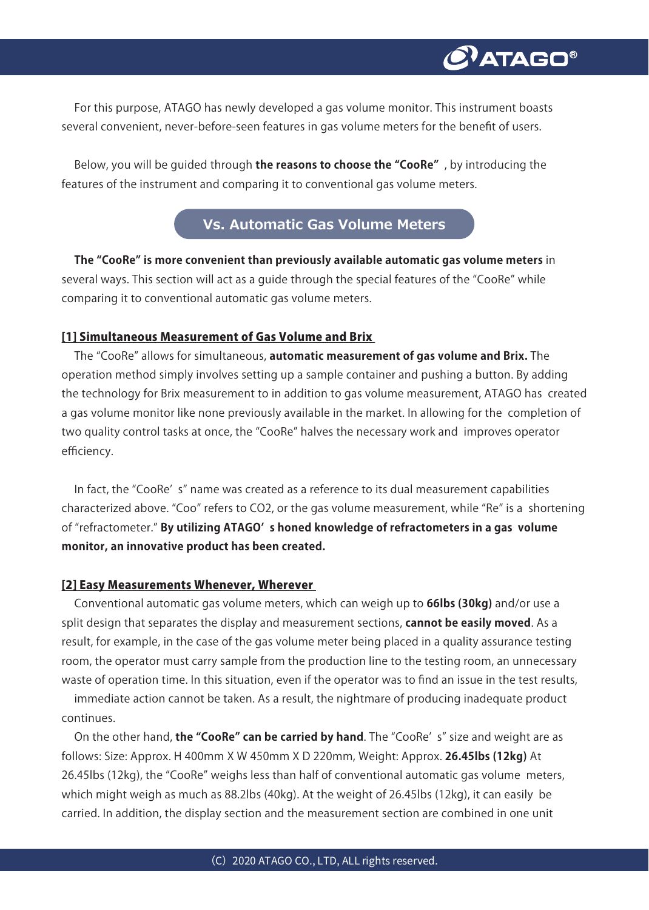

For this purpose, ATAGO has newly developed a gas volume monitor. This instrument boasts several convenient, never-before-seen features in gas volume meters for the benefit of users.

Below, you will be guided through **the reasons to choose the "CooRe"** , by introducing the features of the instrument and comparing it to conventional gas volume meters.

## **Vs. Automatic Gas Volume Meters**

**The "CooRe" is more convenient than previously available automatic gas volume meters** in several ways. This section will act as a guide through the special features of the "CooRe" while comparing it to conventional automatic gas volume meters.

#### [1] Simultaneous Measurement of Gas Volume and Brix

The "CooRe" allows for simultaneous, **automatic measurement of gas volume and Brix.** The operation method simply involves setting up a sample container and pushing a button. By adding the technology for Brix measurement to in addition to gas volume measurement, ATAGO has created a gas volume monitor like none previously available in the market. In allowing for the completion of two quality control tasks at once, the "CooRe" halves the necessary work and improves operator efficiency.

In fact, the "CooRe' s" name was created as a reference to its dual measurement capabilities characterized above. "Coo" refers to CO2, or the gas volume measurement, while "Re" is a shortening of "refractometer." **By utilizing ATAGO' s honed knowledge of refractometers in a gas volume monitor, an innovative product has been created.** 

#### [2] Easy Measurements Whenever, Wherever

Conventional automatic gas volume meters, which can weigh up to **66lbs (30kg)** and/or use a split design that separates the display and measurement sections, **cannot be easily moved**. As a result, for example, in the case of the gas volume meter being placed in a quality assurance testing room, the operator must carry sample from the production line to the testing room, an unnecessary waste of operation time. In this situation, even if the operator was to find an issue in the test results,

immediate action cannot be taken. As a result, the nightmare of producing inadequate product continues.

On the other hand, **the "CooRe" can be carried by hand**. The "CooRe' s" size and weight are as follows: Size: Approx. H 400mm X W 450mm X D 220mm, Weight: Approx. **26.45lbs (12kg)** At 26.45lbs (12kg), the "CooRe" weighs less than half of conventional automatic gas volume meters, which might weigh as much as 88.2lbs (40kg). At the weight of 26.45lbs (12kg), it can easily be carried. In addition, the display section and the measurement section are combined in one unit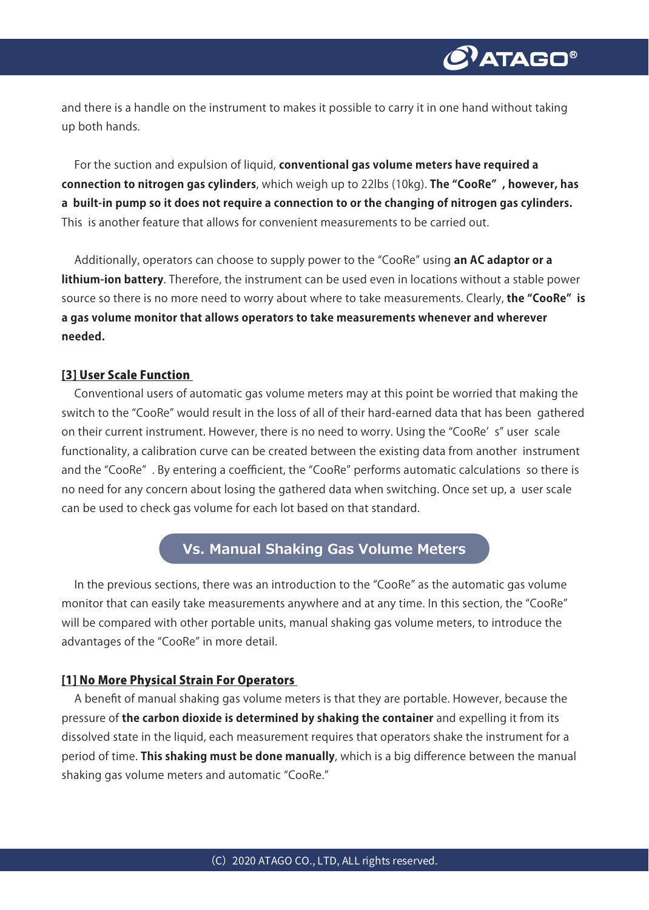and there is a handle on the instrument to makes it possible to carry it in one hand without taking up both hands.

For the suction and expulsion of liquid, **conventional gas volume meters have required a connection to nitrogen gas cylinders**, which weigh up to 22lbs (10kg). **The "CooRe" , however, has a built-in pump so it does not require a connection to or the changing of nitrogen gas cylinders.**  This is another feature that allows for convenient measurements to be carried out.

Additionally, operators can choose to supply power to the "CooRe" using **an AC adaptor or a lithium-ion battery**. Therefore, the instrument can be used even in locations without a stable power source so there is no more need to worry about where to take measurements. Clearly, **the "CooRe" is a gas volume monitor that allows operators to take measurements whenever and wherever needed.** 

#### [3] User Scale Function

Conventional users of automatic gas volume meters may at this point be worried that making the switch to the "CooRe" would result in the loss of all of their hard-earned data that has been gathered on their current instrument. However, there is no need to worry. Using the "CooRe' s" user scale functionality, a calibration curve can be created between the existing data from another instrument and the "CooRe" . By entering a coefficient, the "CooRe" performs automatic calculations so there is no need for any concern about losing the gathered data when switching. Once set up, a user scale can be used to check gas volume for each lot based on that standard.

### **Vs. Manual Shaking Gas Volume Meters**

In the previous sections, there was an introduction to the "CooRe" as the automatic gas volume monitor that can easily take measurements anywhere and at any time. In this section, the "CooRe" will be compared with other portable units, manual shaking gas volume meters, to introduce the advantages of the "CooRe" in more detail.

#### [1] No More Physical Strain For Operators

A benefit of manual shaking gas volume meters is that they are portable. However, because the pressure of **the carbon dioxide is determined by shaking the container** and expelling it from its dissolved state in the liquid, each measurement requires that operators shake the instrument for a period of time. **This shaking must be done manually**, which is a big difference between the manual shaking gas volume meters and automatic "CooRe."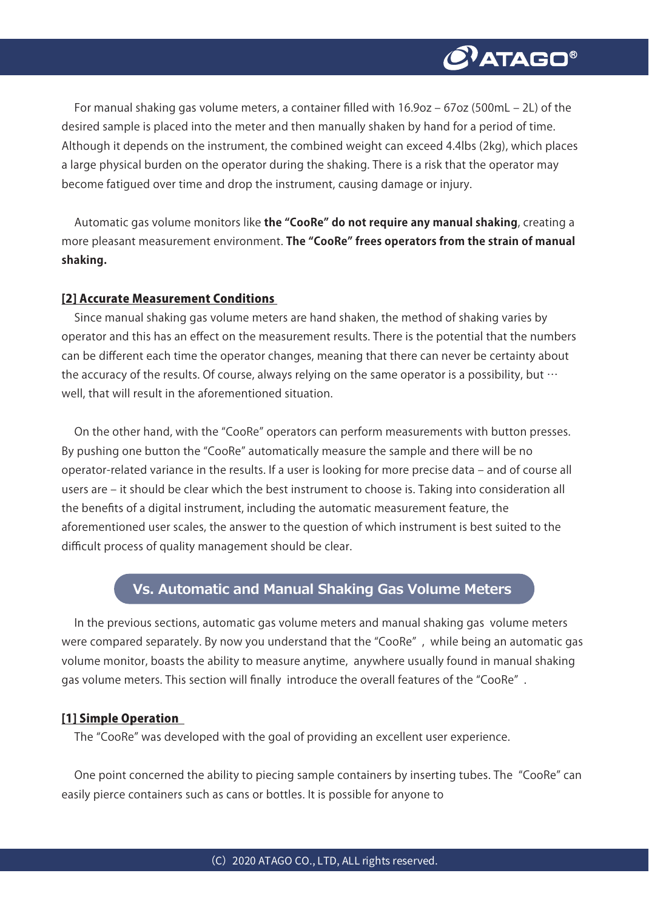

For manual shaking gas volume meters, a container filled with  $16.9$ oz  $- 67$ oz (500mL  $- 2$ L) of the desired sample is placed into the meter and then manually shaken by hand for a period of time. Although it depends on the instrument, the combined weight can exceed 4.4lbs (2kg), which places a large physical burden on the operator during the shaking. There is a risk that the operator may become fatigued over time and drop the instrument, causing damage or injury.

Automatic gas volume monitors like **the "CooRe" do not require any manual shaking**, creating a more pleasant measurement environment. **The "CooRe" frees operators from the strain of manual shaking.**

#### [2] Accurate Measurement Conditions

Since manual shaking gas volume meters are hand shaken, the method of shaking varies by operator and this has an effect on the measurement results. There is the potential that the numbers can be different each time the operator changes, meaning that there can never be certainty about the accuracy of the results. Of course, always relying on the same operator is a possibility, but  $\cdots$ well, that will result in the aforementioned situation.

On the other hand, with the "CooRe" operators can perform measurements with button presses. By pushing one button the "CooRe" automatically measure the sample and there will be no operator-related variance in the results. If a user is looking for more precise data ‒ and of course all users are – it should be clear which the best instrument to choose is. Taking into consideration all the benefits of a digital instrument, including the automatic measurement feature, the aforementioned user scales, the answer to the question of which instrument is best suited to the difficult process of quality management should be clear.

#### **Vs. Automatic and Manual Shaking Gas Volume Meters**

In the previous sections, automatic gas volume meters and manual shaking gas volume meters were compared separately. By now you understand that the "CooRe" , while being an automatic gas volume monitor, boasts the ability to measure anytime, anywhere usually found in manual shaking gas volume meters. This section will finally introduce the overall features of the "CooRe" .

#### [1] Simple Operation

The "CooRe" was developed with the goal of providing an excellent user experience.

One point concerned the ability to piecing sample containers by inserting tubes. The "CooRe" can easily pierce containers such as cans or bottles. It is possible for anyone to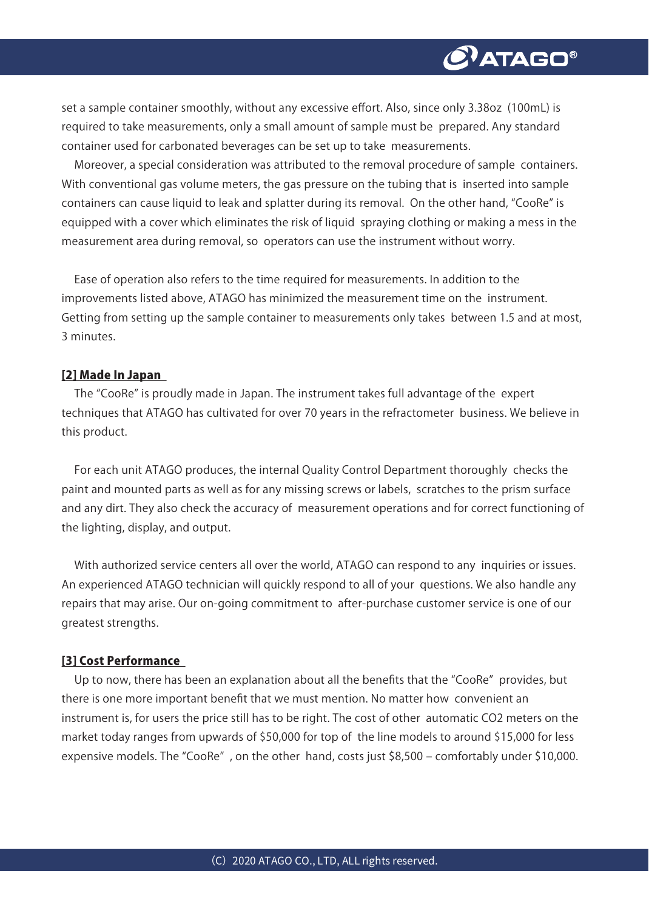

set a sample container smoothly, without any excessive effort. Also, since only 3.38oz (100mL) is required to take measurements, only a small amount of sample must be prepared. Any standard container used for carbonated beverages can be set up to take measurements.

Moreover, a special consideration was attributed to the removal procedure of sample containers. With conventional gas volume meters, the gas pressure on the tubing that is inserted into sample containers can cause liquid to leak and splatter during its removal. On the other hand, "CooRe" is equipped with a cover which eliminates the risk of liquid spraying clothing or making a mess in the measurement area during removal, so operators can use the instrument without worry.

Ease of operation also refers to the time required for measurements. In addition to the improvements listed above, ATAGO has minimized the measurement time on the instrument. Getting from setting up the sample container to measurements only takes between 1.5 and at most, 3 minutes.

#### [2] Made In Japan

The "CooRe" is proudly made in Japan. The instrument takes full advantage of the expert techniques that ATAGO has cultivated for over 70 years in the refractometer business. We believe in this product.

For each unit ATAGO produces, the internal Quality Control Department thoroughly checks the paint and mounted parts as well as for any missing screws or labels, scratches to the prism surface and any dirt. They also check the accuracy of measurement operations and for correct functioning of the lighting, display, and output.

With authorized service centers all over the world, ATAGO can respond to any inquiries or issues. An experienced ATAGO technician will quickly respond to all of your questions. We also handle any repairs that may arise. Our on-going commitment to after-purchase customer service is one of our greatest strengths.

#### [3] Cost Performance

Up to now, there has been an explanation about all the benefits that the "CooRe" provides, but there is one more important benefit that we must mention. No matter how convenient an instrument is, for users the price still has to be right. The cost of other automatic CO2 meters on the market today ranges from upwards of \$50,000 for top of the line models to around \$15,000 for less expensive models. The "CooRe", on the other hand, costs just \$8,500 – comfortably under \$10,000.